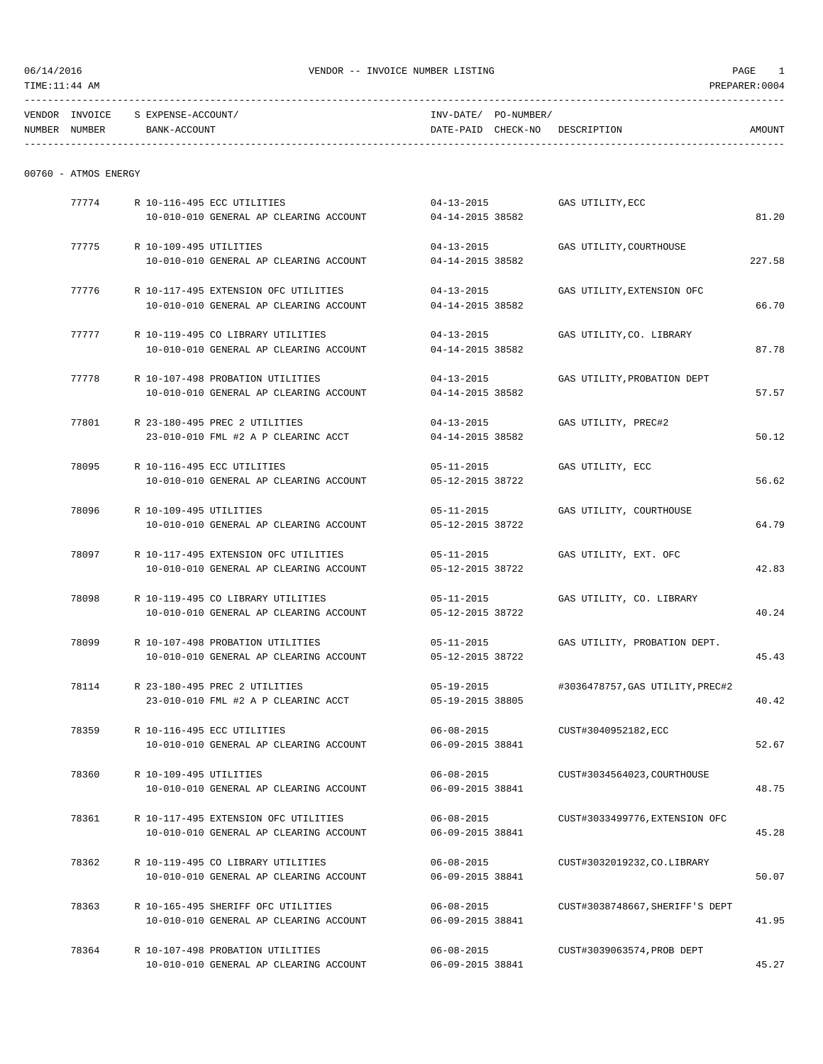| TENDOR         | "NN/OTCE       | . )I IN!!       | DA mr.<br>the contract of the contract of the contract of the contract of the contract of |                    |   |          |
|----------------|----------------|-----------------|-------------------------------------------------------------------------------------------|--------------------|---|----------|
| <b>NITMRER</b> | <b>NITMRER</b> | <b>BUD</b><br>. | י הר<br>.                                                                                 | $-NTC$<br>$\cdots$ | . | AMOI INT |

| NUMBER | <b>NUMBER</b> | <b>CCOUNT</b><br>BANK-AC | DATE-PAID | CHECK-NO | DESCRIPTION | AMOUNT |
|--------|---------------|--------------------------|-----------|----------|-------------|--------|
|        |               |                          |           |          |             |        |

| 00760 |  | ATMOS ENERGY |
|-------|--|--------------|
|-------|--|--------------|

| 77774 | R 10-116-495 ECC UTILITIES<br>10-010-010 GENERAL AP CLEARING ACCOUNT | $04 - 13 - 2015$<br>04-14-2015 38582 | GAS UTILITY, ECC                 | 81.20  |
|-------|----------------------------------------------------------------------|--------------------------------------|----------------------------------|--------|
|       |                                                                      |                                      |                                  |        |
| 77775 | R 10-109-495 UTILITIES                                               | $04 - 13 - 2015$                     | GAS UTILITY, COURTHOUSE          |        |
|       | 10-010-010 GENERAL AP CLEARING ACCOUNT                               | 04-14-2015 38582                     |                                  | 227.58 |
| 77776 | R 10-117-495 EXTENSION OFC UTILITIES                                 | $04 - 13 - 2015$                     | GAS UTILITY, EXTENSION OFC       |        |
|       | 10-010-010 GENERAL AP CLEARING ACCOUNT                               | 04-14-2015 38582                     |                                  | 66.70  |
| 77777 | R 10-119-495 CO LIBRARY UTILITIES                                    | $04 - 13 - 2015$                     | GAS UTILITY, CO. LIBRARY         |        |
|       | 10-010-010 GENERAL AP CLEARING ACCOUNT                               | 04-14-2015 38582                     |                                  | 87.78  |
| 77778 | R 10-107-498 PROBATION UTILITIES                                     | $04 - 13 - 2015$                     | GAS UTILITY, PROBATION DEPT      |        |
|       | 10-010-010 GENERAL AP CLEARING ACCOUNT                               | 04-14-2015 38582                     |                                  | 57.57  |
| 77801 | R 23-180-495 PREC 2 UTILITIES                                        | $04 - 13 - 2015$                     | GAS UTILITY, PREC#2              |        |
|       | 23-010-010 FML #2 A P CLEARINC ACCT                                  | 04-14-2015 38582                     |                                  | 50.12  |
| 78095 | R 10-116-495 ECC UTILITIES                                           | $05 - 11 - 2015$                     | GAS UTILITY, ECC                 |        |
|       | 10-010-010 GENERAL AP CLEARING ACCOUNT                               | 05-12-2015 38722                     |                                  | 56.62  |
| 78096 | R 10-109-495 UTILITIES                                               | 05-11-2015                           | GAS UTILITY, COURTHOUSE          |        |
|       | 10-010-010 GENERAL AP CLEARING ACCOUNT                               | 05-12-2015 38722                     |                                  | 64.79  |
| 78097 | R 10-117-495 EXTENSION OFC UTILITIES                                 | $05 - 11 - 2015$                     | GAS UTILITY, EXT. OFC            |        |
|       | 10-010-010 GENERAL AP CLEARING ACCOUNT                               | 05-12-2015 38722                     |                                  | 42.83  |
| 78098 | R 10-119-495 CO LIBRARY UTILITIES                                    | $05 - 11 - 2015$                     | GAS UTILITY, CO. LIBRARY         |        |
|       | 10-010-010 GENERAL AP CLEARING ACCOUNT                               | 05-12-2015 38722                     |                                  | 40.24  |
| 78099 | R 10-107-498 PROBATION UTILITIES                                     | $05 - 11 - 2015$                     | GAS UTILITY, PROBATION DEPT.     |        |
|       | 10-010-010 GENERAL AP CLEARING ACCOUNT                               | 05-12-2015 38722                     |                                  | 45.43  |
| 78114 | R 23-180-495 PREC 2 UTILITIES                                        | $05 - 19 - 2015$                     | #3036478757, GAS UTILITY, PREC#2 |        |
|       | 23-010-010 FML #2 A P CLEARINC ACCT                                  | 05-19-2015 38805                     |                                  | 40.42  |
| 78359 | R 10-116-495 ECC UTILITIES                                           | $06 - 08 - 2015$                     | CUST#3040952182, ECC             |        |
|       | 10-010-010 GENERAL AP CLEARING ACCOUNT                               | 06-09-2015 38841                     |                                  | 52.67  |
| 78360 | R 10-109-495 UTILITIES                                               | $06 - 08 - 2015$                     | CUST#3034564023, COURTHOUSE      |        |
|       | 10-010-010 GENERAL AP CLEARING ACCOUNT                               | 06-09-2015 38841                     |                                  | 48.75  |
| 78361 | R 10-117-495 EXTENSION OFC UTILITIES                                 | $06 - 08 - 2015$                     | CUST#3033499776, EXTENSION OFC   |        |
|       | 10-010-010 GENERAL AP CLEARING ACCOUNT                               | 06-09-2015 38841                     |                                  | 45.28  |
| 78362 | R 10-119-495 CO LIBRARY UTILITIES                                    | $06 - 08 - 2015$                     | CUST#3032019232, CO. LIBRARY     |        |
|       | 10-010-010 GENERAL AP CLEARING ACCOUNT                               | 06-09-2015 38841                     |                                  | 50.07  |
| 78363 | R 10-165-495 SHERIFF OFC UTILITIES                                   | $06 - 08 - 2015$                     | CUST#3038748667. SHERIFF'S DEPT  |        |
|       | 10-010-010 GENERAL AP CLEARING ACCOUNT                               | 06-09-2015 38841                     |                                  | 41.95  |
| 78364 | R 10-107-498 PROBATION UTILITIES                                     | $06 - 08 - 2015$                     | CUST#3039063574, PROB DEPT       |        |
|       | 10-010-010 GENERAL AP CLEARING ACCOUNT                               | 06-09-2015 38841                     |                                  | 45.27  |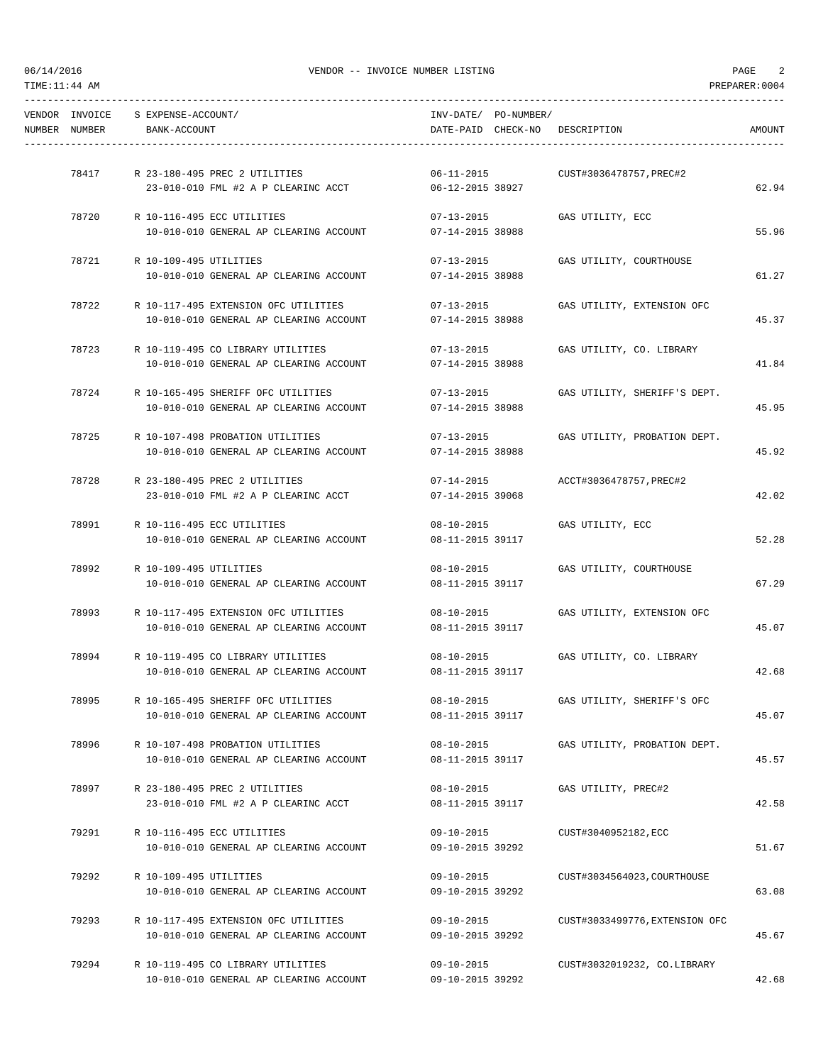|               | VENDOR INVOICE S EXPENSE-ACCOUNT/      |                                                                                      | INV-DATE/ PO-NUMBER/ |                                         |               |
|---------------|----------------------------------------|--------------------------------------------------------------------------------------|----------------------|-----------------------------------------|---------------|
| NUMBER NUMBER | BANK-ACCOUNT                           |                                                                                      |                      | DATE-PAID CHECK-NO DESCRIPTION          | <b>AMOUNT</b> |
|               |                                        |                                                                                      |                      |                                         |               |
|               | 78417 R 23-180-495 PREC 2 UTILITIES    |                                                                                      | $06 - 11 - 2015$     | CUST#3036478757, PREC#2                 |               |
|               |                                        | 23-010-010 FML #2 A P CLEARINC ACCT                                                  | 06-12-2015 38927     |                                         | 62.94         |
| 78720         | R 10-116-495 ECC UTILITIES             |                                                                                      | $07 - 13 - 2015$     | GAS UTILITY, ECC                        |               |
|               |                                        | 10-010-010 GENERAL AP CLEARING ACCOUNT                                               | 07-14-2015 38988     |                                         | 55.96         |
|               | 78721 R 10-109-495 UTILITIES           |                                                                                      | $07 - 13 - 2015$     | GAS UTILITY, COURTHOUSE                 |               |
|               |                                        | 10-010-010 GENERAL AP CLEARING ACCOUNT                                               | 07-14-2015 38988     |                                         | 61.27         |
| 78722         |                                        | R 10-117-495 EXTENSION OFC UTILITIES                                                 | $07 - 13 - 2015$     | GAS UTILITY, EXTENSION OFC              |               |
|               |                                        | 10-010-010 GENERAL AP CLEARING ACCOUNT                                               | 07-14-2015 38988     |                                         | 45.37         |
|               |                                        |                                                                                      |                      |                                         |               |
| 78723         |                                        | R 10-119-495 CO LIBRARY UTILITIES                                                    | $07 - 13 - 2015$     | GAS UTILITY, CO. LIBRARY                |               |
|               |                                        | 10-010-010 GENERAL AP CLEARING ACCOUNT                                               | 07-14-2015 38988     |                                         | 41.84         |
| 78724         |                                        | R 10-165-495 SHERIFF OFC UTILITIES                                                   | 07-13-2015           | GAS UTILITY, SHERIFF'S DEPT.            |               |
|               |                                        | 10-010-010 GENERAL AP CLEARING ACCOUNT                                               | 07-14-2015 38988     |                                         | 45.95         |
|               | 78725 R 10-107-498 PROBATION UTILITIES |                                                                                      | $07 - 13 - 2015$     | GAS UTILITY, PROBATION DEPT.            |               |
|               |                                        | 10-010-010 GENERAL AP CLEARING ACCOUNT                                               | 07-14-2015 38988     |                                         | 45.92         |
|               |                                        |                                                                                      |                      |                                         |               |
| 78728         | R 23-180-495 PREC 2 UTILITIES          |                                                                                      | $07 - 14 - 2015$     | ACCT#3036478757,PREC#2                  |               |
|               |                                        | 23-010-010 FML #2 A P CLEARINC ACCT                                                  | 07-14-2015 39068     |                                         | 42.02         |
|               | 78991 R 10-116-495 ECC UTILITIES       |                                                                                      | $08 - 10 - 2015$     | GAS UTILITY, ECC                        |               |
|               |                                        | 10-010-010 GENERAL AP CLEARING ACCOUNT                                               | 08-11-2015 39117     |                                         | 52.28         |
| 78992         | R 10-109-495 UTILITIES                 |                                                                                      | $08 - 10 - 2015$     | GAS UTILITY, COURTHOUSE                 |               |
|               |                                        | 10-010-010 GENERAL AP CLEARING ACCOUNT                                               | 08-11-2015 39117     |                                         | 67.29         |
|               |                                        |                                                                                      |                      |                                         |               |
|               |                                        | 78993 R 10-117-495 EXTENSION OFC UTILITIES<br>10-010-010 GENERAL AP CLEARING ACCOUNT | 08-11-2015 39117     | 08-10-2015   GAS UTILITY, EXTENSION OFC | 45.07         |
|               |                                        |                                                                                      |                      |                                         |               |
|               |                                        | 78994 R 10-119-495 CO LIBRARY UTILITIES                                              |                      | 08-10-2015   GAS UTILITY, CO. LIBRARY   |               |
|               |                                        | 10-010-010 GENERAL AP CLEARING ACCOUNT                                               | 08-11-2015 39117     |                                         | 42.68         |
| 78995         |                                        | R 10-165-495 SHERIFF OFC UTILITIES                                                   | $08 - 10 - 2015$     | GAS UTILITY, SHERIFF'S OFC              |               |
|               |                                        | 10-010-010 GENERAL AP CLEARING ACCOUNT                                               | 08-11-2015 39117     |                                         | 45.07         |
| 78996         | R 10-107-498 PROBATION UTILITIES       |                                                                                      | $08 - 10 - 2015$     | GAS UTILITY, PROBATION DEPT.            |               |
|               |                                        | 10-010-010 GENERAL AP CLEARING ACCOUNT                                               | 08-11-2015 39117     |                                         | 45.57         |
|               |                                        |                                                                                      |                      |                                         |               |
| 78997         | R 23-180-495 PREC 2 UTILITIES          |                                                                                      | 08-10-2015           | GAS UTILITY, PREC#2                     |               |
|               |                                        | 23-010-010 FML #2 A P CLEARINC ACCT                                                  | 08-11-2015 39117     |                                         | 42.58         |
| 79291         | R 10-116-495 ECC UTILITIES             |                                                                                      | $09 - 10 - 2015$     | CUST#3040952182, ECC                    |               |
|               |                                        | 10-010-010 GENERAL AP CLEARING ACCOUNT                                               | 09-10-2015 39292     |                                         | 51.67         |
| 79292         | R 10-109-495 UTILITIES                 |                                                                                      | 09-10-2015           | CUST#3034564023, COURTHOUSE             |               |
|               |                                        | 10-010-010 GENERAL AP CLEARING ACCOUNT                                               | 09-10-2015 39292     |                                         | 63.08         |
|               |                                        |                                                                                      |                      |                                         |               |
| 79293         |                                        | R 10-117-495 EXTENSION OFC UTILITIES                                                 | $09 - 10 - 2015$     | CUST#3033499776, EXTENSION OFC          |               |
|               |                                        | 10-010-010 GENERAL AP CLEARING ACCOUNT                                               | 09-10-2015 39292     |                                         | 45.67         |
| 79294         |                                        | R 10-119-495 CO LIBRARY UTILITIES                                                    | $09 - 10 - 2015$     | CUST#3032019232, CO.LIBRARY             |               |
|               |                                        | 10-010-010 GENERAL AP CLEARING ACCOUNT                                               | 09-10-2015 39292     |                                         | 42.68         |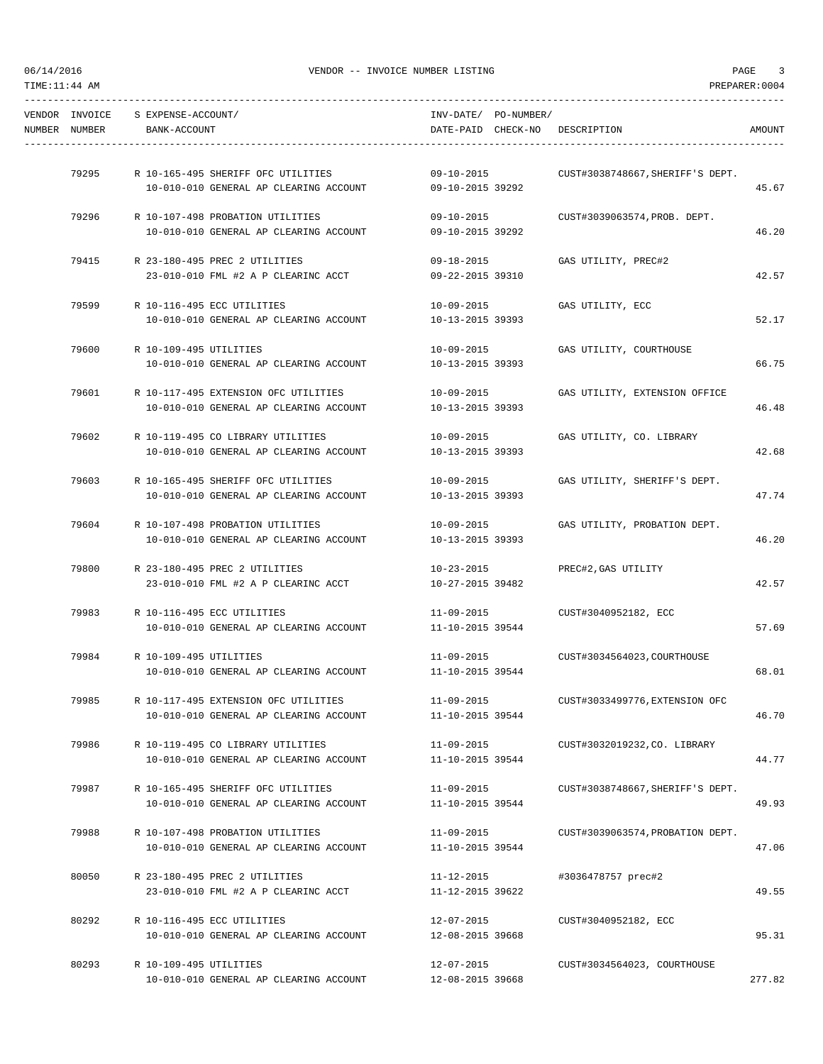| TIME: 11: 44 AM |                                 |                                    |                                                                                              |                                      |                                         | PREPARER: 0004 |
|-----------------|---------------------------------|------------------------------------|----------------------------------------------------------------------------------------------|--------------------------------------|-----------------------------------------|----------------|
|                 | VENDOR INVOICE<br>NUMBER NUMBER | S EXPENSE-ACCOUNT/<br>BANK-ACCOUNT |                                                                                              | INV-DATE/ PO-NUMBER/                 | DATE-PAID CHECK-NO DESCRIPTION          | AMOUNT         |
|                 |                                 |                                    |                                                                                              |                                      |                                         |                |
|                 | 79295                           |                                    | R 10-165-495 SHERIFF OFC UTILITIES                                                           | $09 - 10 - 2015$                     | CUST#3038748667, SHERIFF'S DEPT.        |                |
|                 |                                 |                                    | 10-010-010 GENERAL AP CLEARING ACCOUNT                                                       | 09-10-2015 39292                     |                                         | 45.67          |
|                 | 79296                           |                                    | R 10-107-498 PROBATION UTILITIES                                                             | 09-10-2015                           | CUST#3039063574, PROB. DEPT.            |                |
|                 |                                 |                                    | 10-010-010 GENERAL AP CLEARING ACCOUNT                                                       | 09-10-2015 39292                     |                                         | 46.20          |
|                 | 79415                           |                                    | R 23-180-495 PREC 2 UTILITIES                                                                | 09-18-2015                           | GAS UTILITY, PREC#2                     |                |
|                 |                                 |                                    | 23-010-010 FML #2 A P CLEARINC ACCT                                                          | 09-22-2015 39310                     |                                         | 42.57          |
|                 | 79599                           | R 10-116-495 ECC UTILITIES         |                                                                                              |                                      | 10-09-2015 GAS UTILITY, ECC             |                |
|                 |                                 |                                    | 10-010-010 GENERAL AP CLEARING ACCOUNT                                                       | 10-13-2015 39393                     |                                         | 52.17          |
|                 | 79600                           | R 10-109-495 UTILITIES             |                                                                                              | $10 - 09 - 2015$                     | GAS UTILITY, COURTHOUSE                 |                |
|                 |                                 |                                    | 10-010-010 GENERAL AP CLEARING ACCOUNT                                                       | 10-13-2015 39393                     |                                         | 66.75          |
|                 | 79601                           |                                    | R 10-117-495 EXTENSION OFC UTILITIES                                                         | 10-09-2015                           | GAS UTILITY, EXTENSION OFFICE           |                |
|                 |                                 |                                    | 10-010-010 GENERAL AP CLEARING ACCOUNT                                                       | 10-13-2015 39393                     |                                         | 46.48          |
|                 |                                 |                                    |                                                                                              |                                      |                                         |                |
|                 | 79602                           |                                    | R 10-119-495 CO LIBRARY UTILITIES<br>10-010-010 GENERAL AP CLEARING ACCOUNT 10-13-2015 39393 |                                      | 10-09-2015 GAS UTILITY, CO. LIBRARY     | 42.68          |
|                 |                                 |                                    |                                                                                              |                                      |                                         |                |
|                 | 79603                           |                                    | R 10-165-495 SHERIFF OFC UTILITIES<br>10-010-010 GENERAL AP CLEARING ACCOUNT                 | 10-13-2015 39393                     | 10-09-2015 GAS UTILITY, SHERIFF'S DEPT. | 47.74          |
|                 |                                 |                                    |                                                                                              |                                      |                                         |                |
|                 | 79604                           |                                    | R 10-107-498 PROBATION UTILITIES                                                             |                                      | 10-09-2015 GAS UTILITY, PROBATION DEPT. |                |
|                 |                                 |                                    | 10-010-010 GENERAL AP CLEARING ACCOUNT                                                       | 10-13-2015 39393                     |                                         | 46.20          |
|                 | 79800                           |                                    | R 23-180-495 PREC 2 UTILITIES                                                                | 10-23-2015                           | PREC#2,GAS UTILITY                      |                |
|                 |                                 |                                    | 23-010-010 FML #2 A P CLEARINC ACCT                                                          | 10-27-2015 39482                     |                                         | 42.57          |
|                 |                                 | 79983 R 10-116-495 ECC UTILITIES   |                                                                                              |                                      | 11-09-2015 CUST#3040952182, ECC         |                |
|                 |                                 |                                    | 10-010-010 GENERAL AP CLEARING ACCOUNT                                                       | 11-10-2015 39544                     |                                         | 57.69          |
|                 | 79984                           | R 10-109-495 UTILITIES             |                                                                                              |                                      | 11-09-2015 CUST#3034564023, COURTHOUSE  |                |
|                 |                                 |                                    | 10-010-010 GENERAL AP CLEARING ACCOUNT                                                       | 11-10-2015 39544                     |                                         | 68.01          |
|                 | 79985                           |                                    | R 10-117-495 EXTENSION OFC UTILITIES                                                         | 11-09-2015                           | CUST#3033499776, EXTENSION OFC          |                |
|                 |                                 |                                    | 10-010-010 GENERAL AP CLEARING ACCOUNT                                                       | 11-10-2015 39544                     |                                         | 46.70          |
|                 |                                 |                                    |                                                                                              |                                      |                                         |                |
|                 | 79986                           |                                    | R 10-119-495 CO LIBRARY UTILITIES<br>10-010-010 GENERAL AP CLEARING ACCOUNT                  | $11 - 09 - 2015$<br>11-10-2015 39544 | CUST#3032019232,CO. LIBRARY             | 44.77          |
|                 |                                 |                                    |                                                                                              |                                      |                                         |                |
|                 | 79987                           |                                    | R 10-165-495 SHERIFF OFC UTILITIES<br>10-010-010 GENERAL AP CLEARING ACCOUNT                 | $11 - 09 - 2015$<br>11-10-2015 39544 | CUST#3038748667, SHERIFF'S DEPT.        | 49.93          |
|                 |                                 |                                    |                                                                                              |                                      |                                         |                |
|                 | 79988                           |                                    | R 10-107-498 PROBATION UTILITIES                                                             | 11-09-2015                           | CUST#3039063574, PROBATION DEPT.        |                |
|                 |                                 |                                    | 10-010-010 GENERAL AP CLEARING ACCOUNT                                                       | 11-10-2015 39544                     |                                         | 47.06          |
|                 | 80050                           |                                    | R 23-180-495 PREC 2 UTILITIES                                                                | 11-12-2015                           | #3036478757 prec#2                      |                |
|                 |                                 |                                    | 23-010-010 FML #2 A P CLEARINC ACCT                                                          | 11-12-2015 39622                     |                                         | 49.55          |
|                 | 80292                           | R 10-116-495 ECC UTILITIES         |                                                                                              | 12-07-2015                           | CUST#3040952182, ECC                    |                |
|                 |                                 |                                    | 10-010-010 GENERAL AP CLEARING ACCOUNT                                                       | 12-08-2015 39668                     |                                         | 95.31          |
|                 |                                 |                                    |                                                                                              |                                      |                                         |                |

80293 R 10-109-495 UTILITIES 12-07-2015 CUST#3034564023, COURTHOUSE

10-010-010 GENERAL AP CLEARING ACCOUNT 12-08-2015 39668 277.82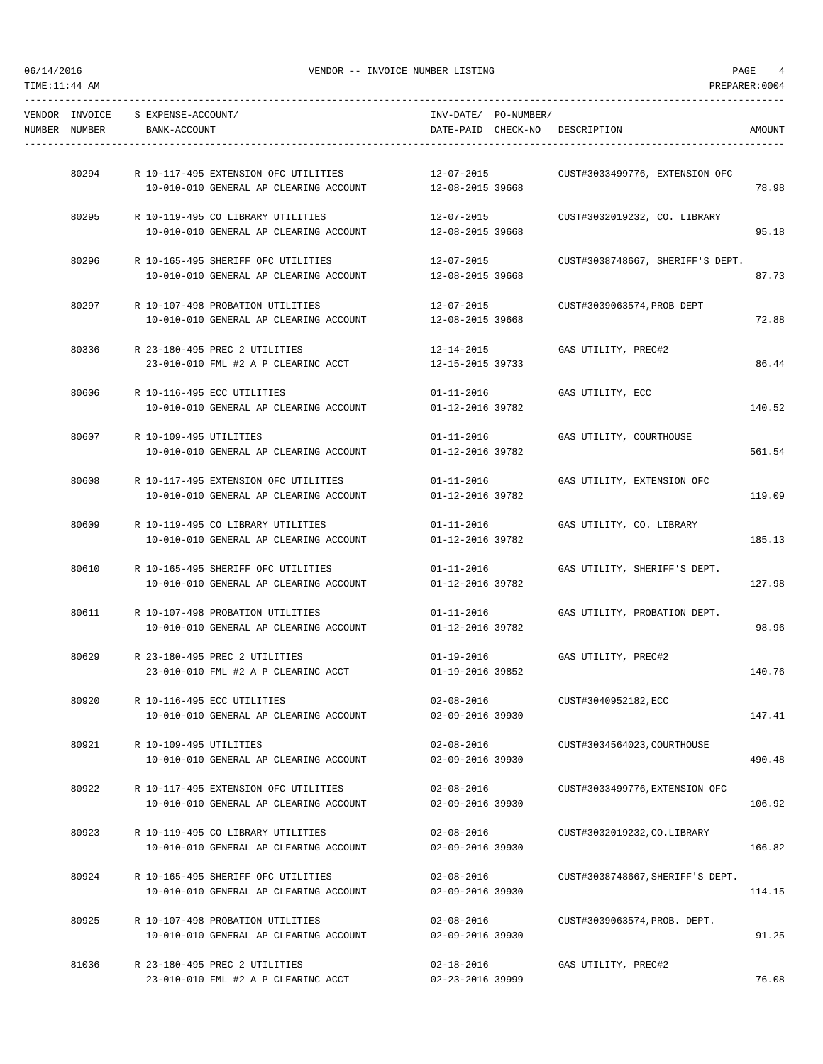| NUMBER NUMBER | VENDOR INVOICE S EXPENSE-ACCOUNT/<br>BANK-ACCOUNT |                                        | INV-DATE/ PO-NUMBER/<br>DATE-PAID CHECK-NO DESCRIPTION |                                  | AMOUNT |
|---------------|---------------------------------------------------|----------------------------------------|--------------------------------------------------------|----------------------------------|--------|
| 80294         |                                                   | R 10-117-495 EXTENSION OFC UTILITIES   | 12-07-2015                                             | CUST#3033499776, EXTENSION OFC   |        |
|               |                                                   | 10-010-010 GENERAL AP CLEARING ACCOUNT | 12-08-2015 39668                                       |                                  | 78.98  |
| 80295         |                                                   | R 10-119-495 CO LIBRARY UTILITIES      | 12-07-2015                                             | CUST#3032019232, CO. LIBRARY     |        |
|               |                                                   | 10-010-010 GENERAL AP CLEARING ACCOUNT | 12-08-2015 39668                                       |                                  | 95.18  |
| 80296         |                                                   | R 10-165-495 SHERIFF OFC UTILITIES     | $12 - 07 - 2015$                                       | CUST#3038748667, SHERIFF'S DEPT. |        |
|               |                                                   | 10-010-010 GENERAL AP CLEARING ACCOUNT | 12-08-2015 39668                                       |                                  | 87.73  |
|               |                                                   | 80297 R 10-107-498 PROBATION UTILITIES | 12-07-2015                                             | CUST#3039063574,PROB DEPT        |        |
|               |                                                   | 10-010-010 GENERAL AP CLEARING ACCOUNT | 12-08-2015 39668                                       |                                  | 72.88  |
| 80336         |                                                   | R 23-180-495 PREC 2 UTILITIES          | 12-14-2015                                             | GAS UTILITY, PREC#2              |        |
|               |                                                   | 23-010-010 FML #2 A P CLEARINC ACCT    | 12-15-2015 39733                                       |                                  | 86.44  |
| 80606         |                                                   | R 10-116-495 ECC UTILITIES             | $01 - 11 - 2016$                                       | GAS UTILITY, ECC                 |        |
|               |                                                   | 10-010-010 GENERAL AP CLEARING ACCOUNT | 01-12-2016 39782                                       |                                  | 140.52 |
|               | 80607 R 10-109-495 UTILITIES                      |                                        | $01 - 11 - 2016$                                       | GAS UTILITY, COURTHOUSE          |        |
|               |                                                   | 10-010-010 GENERAL AP CLEARING ACCOUNT | 01-12-2016 39782                                       |                                  | 561.54 |
| 80608         |                                                   | R 10-117-495 EXTENSION OFC UTILITIES   | $01 - 11 - 2016$                                       | GAS UTILITY, EXTENSION OFC       |        |
|               |                                                   | 10-010-010 GENERAL AP CLEARING ACCOUNT | 01-12-2016 39782                                       |                                  | 119.09 |
| 80609         |                                                   | R 10-119-495 CO LIBRARY UTILITIES      | $01 - 11 - 2016$                                       | GAS UTILITY, CO. LIBRARY         |        |
|               |                                                   | 10-010-010 GENERAL AP CLEARING ACCOUNT | 01-12-2016 39782                                       |                                  | 185.13 |
| 80610         |                                                   | R 10-165-495 SHERIFF OFC UTILITIES     | $01 - 11 - 2016$                                       | GAS UTILITY, SHERIFF'S DEPT.     |        |
|               |                                                   | 10-010-010 GENERAL AP CLEARING ACCOUNT | 01-12-2016 39782                                       |                                  | 127.98 |
|               |                                                   | 80611 R 10-107-498 PROBATION UTILITIES | $01 - 11 - 2016$                                       | GAS UTILITY, PROBATION DEPT.     |        |
|               |                                                   | 10-010-010 GENERAL AP CLEARING ACCOUNT | 01-12-2016 39782                                       |                                  | 98.96  |
| 80629         |                                                   | R 23-180-495 PREC 2 UTILITIES          | $01 - 19 - 2016$                                       | GAS UTILITY, PREC#2              |        |
|               |                                                   | 23-010-010 FML #2 A P CLEARINC ACCT    | 01-19-2016 39852                                       |                                  | 140.76 |
| 80920         |                                                   | R 10-116-495 ECC UTILITIES             | $02 - 08 - 2016$                                       | CUST#3040952182, ECC             |        |
|               |                                                   | 10-010-010 GENERAL AP CLEARING ACCOUNT | 02-09-2016 39930                                       |                                  | 147.41 |
| 80921         | R 10-109-495 UTILITIES                            |                                        | $02 - 08 - 2016$                                       | CUST#3034564023, COURTHOUSE      |        |
|               |                                                   | 10-010-010 GENERAL AP CLEARING ACCOUNT | 02-09-2016 39930                                       |                                  | 490.48 |
| 80922         |                                                   | R 10-117-495 EXTENSION OFC UTILITIES   | $02 - 08 - 2016$                                       | CUST#3033499776, EXTENSION OFC   |        |
|               |                                                   | 10-010-010 GENERAL AP CLEARING ACCOUNT | 02-09-2016 39930                                       |                                  | 106.92 |
| 80923         |                                                   | R 10-119-495 CO LIBRARY UTILITIES      | $02 - 08 - 2016$                                       | CUST#3032019232, CO. LIBRARY     |        |
|               |                                                   | 10-010-010 GENERAL AP CLEARING ACCOUNT | 02-09-2016 39930                                       |                                  | 166.82 |
| 80924         |                                                   | R 10-165-495 SHERIFF OFC UTILITIES     | $02 - 08 - 2016$                                       | CUST#3038748667, SHERIFF'S DEPT. |        |
|               |                                                   | 10-010-010 GENERAL AP CLEARING ACCOUNT | 02-09-2016 39930                                       |                                  | 114.15 |
| 80925         |                                                   | R 10-107-498 PROBATION UTILITIES       | $02 - 08 - 2016$                                       | CUST#3039063574, PROB. DEPT.     |        |
|               |                                                   | 10-010-010 GENERAL AP CLEARING ACCOUNT | 02-09-2016 39930                                       |                                  | 91.25  |
| 81036         |                                                   | R 23-180-495 PREC 2 UTILITIES          | $02 - 18 - 2016$                                       | GAS UTILITY, PREC#2              |        |

23-010-010 FML #2 A P CLEARINC ACCT 02-23-2016 39999 76.08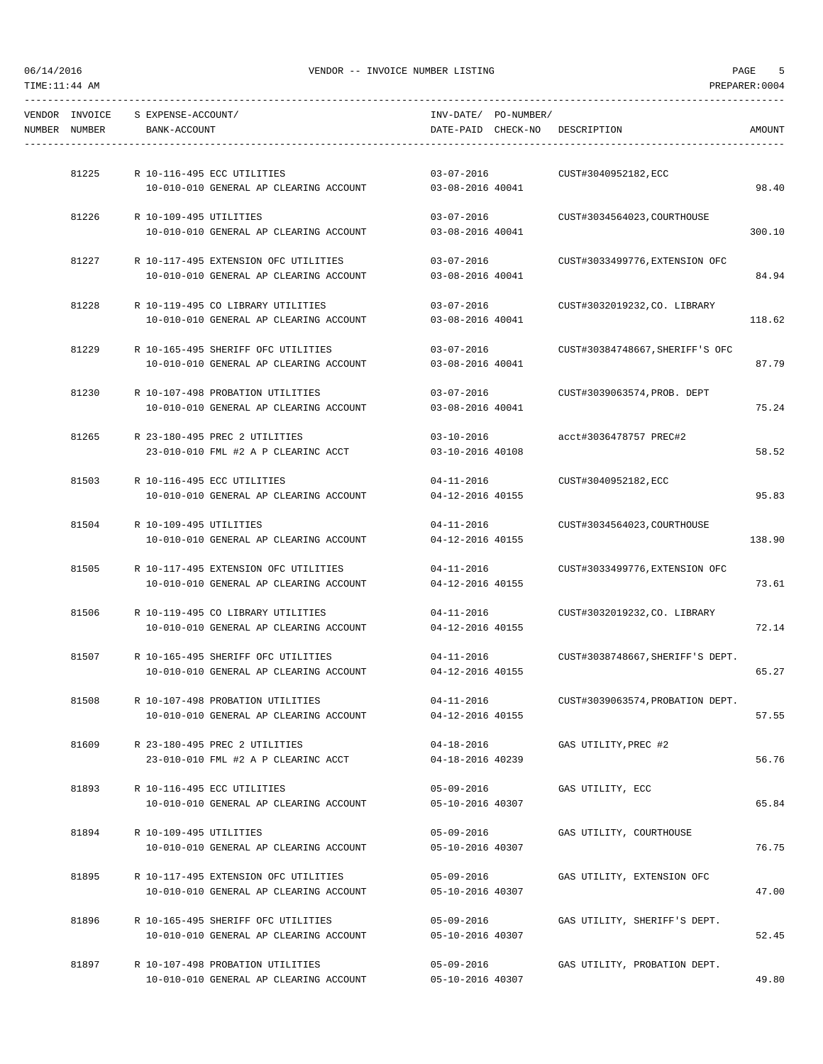|               | VENDOR INVOICE S EXPENSE-ACCOUNT/ |                                        | INV-DATE/ PO-NUMBER/ |                                  |        |
|---------------|-----------------------------------|----------------------------------------|----------------------|----------------------------------|--------|
| NUMBER NUMBER | BANK-ACCOUNT                      |                                        |                      | DATE-PAID CHECK-NO DESCRIPTION   | AMOUNT |
|               |                                   |                                        |                      |                                  |        |
| 81225         |                                   | R 10-116-495 ECC UTILITIES             | $03 - 07 - 2016$     | CUST#3040952182,ECC              |        |
|               |                                   | 10-010-010 GENERAL AP CLEARING ACCOUNT | 03-08-2016 40041     |                                  | 98.40  |
|               |                                   |                                        |                      |                                  |        |
| 81226         | R 10-109-495 UTILITIES            |                                        | 03-07-2016           | CUST#3034564023, COURTHOUSE      |        |
|               |                                   | 10-010-010 GENERAL AP CLEARING ACCOUNT | 03-08-2016 40041     |                                  | 300.10 |
| 81227         |                                   | R 10-117-495 EXTENSION OFC UTILITIES   | 03-07-2016           | CUST#3033499776, EXTENSION OFC   |        |
|               |                                   | 10-010-010 GENERAL AP CLEARING ACCOUNT | 03-08-2016 40041     |                                  | 84.94  |
|               |                                   |                                        |                      |                                  |        |
| 81228         |                                   | R 10-119-495 CO LIBRARY UTILITIES      | 03-07-2016           | CUST#3032019232,CO. LIBRARY      |        |
|               |                                   | 10-010-010 GENERAL AP CLEARING ACCOUNT | 03-08-2016 40041     |                                  | 118.62 |
| 81229         |                                   | R 10-165-495 SHERIFF OFC UTILITIES     | $03 - 07 - 2016$     | CUST#30384748667, SHERIFF'S OFC  |        |
|               |                                   | 10-010-010 GENERAL AP CLEARING ACCOUNT | 03-08-2016 40041     |                                  | 87.79  |
|               |                                   |                                        |                      |                                  |        |
| 81230         |                                   | R 10-107-498 PROBATION UTILITIES       | $03 - 07 - 2016$     | CUST#3039063574, PROB. DEPT      |        |
|               |                                   | 10-010-010 GENERAL AP CLEARING ACCOUNT | 03-08-2016 40041     |                                  | 75.24  |
| 81265         |                                   | R 23-180-495 PREC 2 UTILITIES          | 03-10-2016           | acct#3036478757 PREC#2           |        |
|               |                                   | 23-010-010 FML #2 A P CLEARINC ACCT    | 03-10-2016 40108     |                                  | 58.52  |
|               |                                   |                                        |                      |                                  |        |
|               |                                   | 81503 R 10-116-495 ECC UTILITIES       | $04 - 11 - 2016$     | CUST#3040952182,ECC              |        |
|               |                                   | 10-010-010 GENERAL AP CLEARING ACCOUNT | 04-12-2016 40155     |                                  | 95.83  |
| 81504         | R 10-109-495 UTILITIES            |                                        | 04-11-2016           | CUST#3034564023,COURTHOUSE       |        |
|               |                                   | 10-010-010 GENERAL AP CLEARING ACCOUNT | 04-12-2016 40155     |                                  | 138.90 |
|               |                                   |                                        |                      |                                  |        |
| 81505         |                                   | R 10-117-495 EXTENSION OFC UTILITIES   | $04 - 11 - 2016$     | CUST#3033499776, EXTENSION OFC   |        |
|               |                                   | 10-010-010 GENERAL AP CLEARING ACCOUNT | 04-12-2016 40155     |                                  | 73.61  |
| 81506         |                                   | R 10-119-495 CO LIBRARY UTILITIES      | $04 - 11 - 2016$     | CUST#3032019232, CO. LIBRARY     |        |
|               |                                   | 10-010-010 GENERAL AP CLEARING ACCOUNT | 04-12-2016 40155     |                                  | 72.14  |
|               |                                   |                                        |                      |                                  |        |
| 81507         |                                   | R 10-165-495 SHERIFF OFC UTILITIES     | $04 - 11 - 2016$     | CUST#3038748667, SHERIFF'S DEPT. |        |
|               |                                   | 10-010-010 GENERAL AP CLEARING ACCOUNT | 04-12-2016 40155     |                                  | 65.27  |
| 81508         |                                   | R 10-107-498 PROBATION UTILITIES       | $04 - 11 - 2016$     | CUST#3039063574, PROBATION DEPT. |        |
|               |                                   | 10-010-010 GENERAL AP CLEARING ACCOUNT | 04-12-2016 40155     |                                  | 57.55  |
|               |                                   |                                        |                      |                                  |        |
| 81609         |                                   | R 23-180-495 PREC 2 UTILITIES          | $04 - 18 - 2016$     | GAS UTILITY, PREC #2             |        |
|               |                                   | 23-010-010 FML #2 A P CLEARINC ACCT    | 04-18-2016 40239     |                                  | 56.76  |
| 81893         |                                   | R 10-116-495 ECC UTILITIES             | $05 - 09 - 2016$     | GAS UTILITY, ECC                 |        |
|               |                                   | 10-010-010 GENERAL AP CLEARING ACCOUNT | 05-10-2016 40307     |                                  | 65.84  |
|               |                                   |                                        |                      |                                  |        |
| 81894         | R 10-109-495 UTILITIES            |                                        | $05 - 09 - 2016$     | GAS UTILITY, COURTHOUSE          |        |
|               |                                   | 10-010-010 GENERAL AP CLEARING ACCOUNT | 05-10-2016 40307     |                                  | 76.75  |
| 81895         |                                   | R 10-117-495 EXTENSION OFC UTILITIES   | $05 - 09 - 2016$     | GAS UTILITY, EXTENSION OFC       |        |
|               |                                   | 10-010-010 GENERAL AP CLEARING ACCOUNT | 05-10-2016 40307     |                                  | 47.00  |
|               |                                   |                                        |                      |                                  |        |
| 81896         |                                   | R 10-165-495 SHERIFF OFC UTILITIES     | $05 - 09 - 2016$     | GAS UTILITY, SHERIFF'S DEPT.     |        |
|               |                                   | 10-010-010 GENERAL AP CLEARING ACCOUNT | 05-10-2016 40307     |                                  | 52.45  |
| 81897         |                                   | R 10-107-498 PROBATION UTILITIES       | 05-09-2016           | GAS UTILITY, PROBATION DEPT.     |        |
|               |                                   | 10-010-010 GENERAL AP CLEARING ACCOUNT | 05-10-2016 40307     |                                  | 49.80  |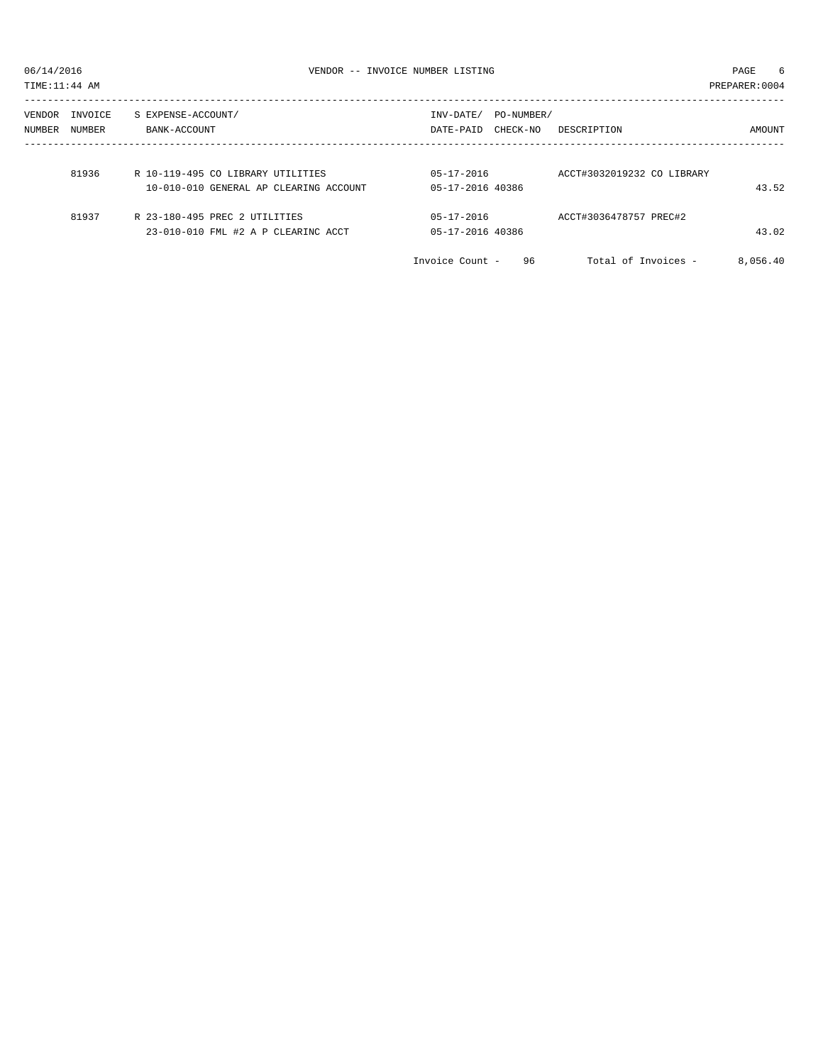TIME:11:44 AM PREPARER:0004 ----------------------------------------------------------------------------------------------------------------------------------- VENDOR INVOICE S EXPENSE-ACCOUNT/ NUMBER NUMBER BANK-ACCOUNT DATE-PAID CHECK-NO DESCRIPTION AMOUNT ----------------------------------------------------------------------------------------------------------------------------------- 81936 R 10-119-495 CO LIBRARY UTILITIES 05-17-2016 ACCT#3032019232 CO LIBRARY 10-010-010 GENERAL AP CLEARING ACCOUNT 05-17-2016 40386 43.52

| 81937 | R 23-180-495 PREC 2 UTILITIES       | $0.5 - 1.7 - 2.016$ | ACCT#3036478757 PREC#2 |
|-------|-------------------------------------|---------------------|------------------------|
|       | 23-010-010 FML #2 A P CLEARINC ACCT | 05-17-2016 40386    |                        |

| 23-010-010 FML #2 A P CLEARINC ACCT | 05-17-2016 40386      |                     | 43.02    |
|-------------------------------------|-----------------------|---------------------|----------|
|                                     | Invoice Count -<br>96 | Total of Invoices - | 8,056.40 |